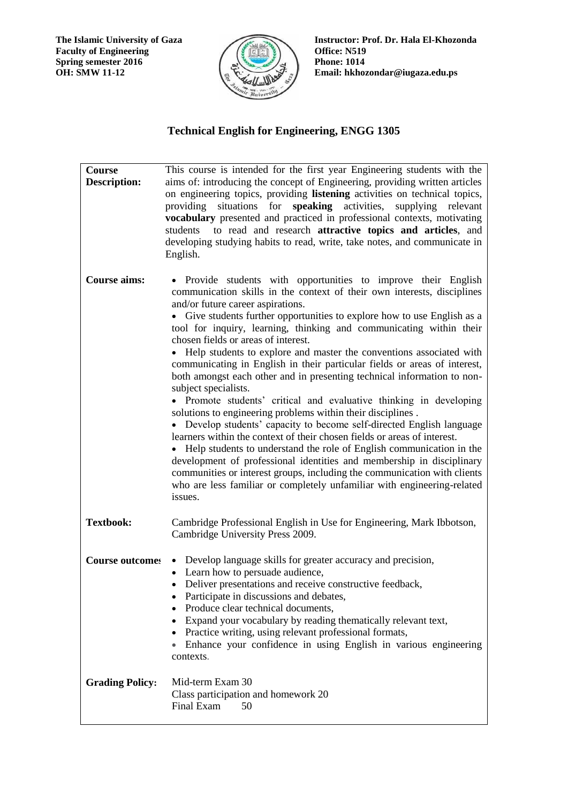**The Islamic University of Gaza Faculty of Engineering Spring semester 2016 OH: SMW 11-12**



**Instructor: Prof. Dr. Hala El-Khozonda Office: N519 Phone: 1014 Email: hkhozondar@iugaza.edu.ps** 

## **Technical English for Engineering, ENGG 1305**

| Course<br><b>Description:</b> | This course is intended for the first year Engineering students with the<br>aims of: introducing the concept of Engineering, providing written articles<br>on engineering topics, providing listening activities on technical topics,<br>providing situations for <b>speaking</b> activities,<br>supplying relevant<br>vocabulary presented and practiced in professional contexts, motivating<br>students to read and research attractive topics and articles, and<br>developing studying habits to read, write, take notes, and communicate in<br>English.                                                                                                                                                                                                                                                                                                                                                                                                                                                                                                                                                                                                                                                                                     |
|-------------------------------|--------------------------------------------------------------------------------------------------------------------------------------------------------------------------------------------------------------------------------------------------------------------------------------------------------------------------------------------------------------------------------------------------------------------------------------------------------------------------------------------------------------------------------------------------------------------------------------------------------------------------------------------------------------------------------------------------------------------------------------------------------------------------------------------------------------------------------------------------------------------------------------------------------------------------------------------------------------------------------------------------------------------------------------------------------------------------------------------------------------------------------------------------------------------------------------------------------------------------------------------------|
| <b>Course aims:</b>           | • Provide students with opportunities to improve their English<br>communication skills in the context of their own interests, disciplines<br>and/or future career aspirations.<br>• Give students further opportunities to explore how to use English as a<br>tool for inquiry, learning, thinking and communicating within their<br>chosen fields or areas of interest.<br>• Help students to explore and master the conventions associated with<br>communicating in English in their particular fields or areas of interest,<br>both amongst each other and in presenting technical information to non-<br>subject specialists.<br>• Promote students' critical and evaluative thinking in developing<br>solutions to engineering problems within their disciplines.<br>• Develop students' capacity to become self-directed English language<br>learners within the context of their chosen fields or areas of interest.<br>• Help students to understand the role of English communication in the<br>development of professional identities and membership in disciplinary<br>communities or interest groups, including the communication with clients<br>who are less familiar or completely unfamiliar with engineering-related<br>issues. |
| <b>Textbook:</b>              | Cambridge Professional English in Use for Engineering, Mark Ibbotson,<br>Cambridge University Press 2009.                                                                                                                                                                                                                                                                                                                                                                                                                                                                                                                                                                                                                                                                                                                                                                                                                                                                                                                                                                                                                                                                                                                                        |
| <b>Course outcomes</b>        | • Develop language skills for greater accuracy and precision,<br>• Learn how to persuade audience,<br>• Deliver presentations and receive constructive feedback,<br>Participate in discussions and debates,<br>Produce clear technical documents,<br>Expand your vocabulary by reading thematically relevant text,<br>$\bullet$<br>• Practice writing, using relevant professional formats,<br>Enhance your confidence in using English in various engineering<br>$\bullet$<br>contexts.                                                                                                                                                                                                                                                                                                                                                                                                                                                                                                                                                                                                                                                                                                                                                         |
| <b>Grading Policy:</b>        | Mid-term Exam 30<br>Class participation and homework 20<br>50<br>Final Exam                                                                                                                                                                                                                                                                                                                                                                                                                                                                                                                                                                                                                                                                                                                                                                                                                                                                                                                                                                                                                                                                                                                                                                      |